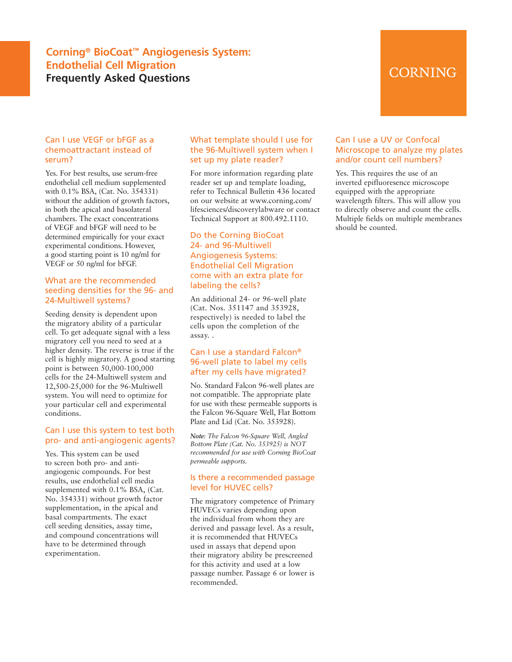# **Corning® BioCoat™ Angiogenesis System: Endothelial Cell Migration Frequently Asked Questions**

# CORNING

# Can I use VEGF or bFGF as a chemoattractant instead of serum?

Yes. For best results, use serum-free endothelial cell medium supplemented with 0.1% BSA, (Cat. No. 354331) without the addition of growth factors, in both the apical and basolateral chambers. The exact concentrations of VEGF and bFGF will need to be determined empirically for your exact experimental conditions. However, a good starting point is 10 ng/ml for VEGF or 50 ng/ml for bFGF.

#### What are the recommended seeding densities for the 96- and 24-Multiwell systems?

Seeding density is dependent upon the migratory ability of a particular cell. To get adequate signal with a less migratory cell you need to seed at a higher density. The reverse is true if the cell is highly migratory. A good starting point is between 50,000-100,000 cells for the 24-Multiwell system and 12,500-25,000 for the 96-Multiwell system. You will need to optimize for your particular cell and experimental conditions.

## Can I use this system to test both pro- and anti-angiogenic agents?

Yes. This system can be used to screen both pro- and antiangiogenic compounds. For best results, use endothelial cell media supplemented with 0.1% BSA, (Cat. No. 354331) without growth factor supplementation, in the apical and basal compartments. The exact cell seeding densities, assay time, and compound concentrations will have to be determined through experimentation.

## What template should I use for the 96-Multiwell system when I set up my plate reader?

For more information regarding plate reader set up and template loading, refer to Technical Bulletin 436 located on our website at www.corning.com/ lifesciences/discoverylabware or contact Technical Support at 800.492.1110.

# Do the Corning BioCoat 24- and 96-Multiwell Angiogenesis Systems: Endothelial Cell Migration come with an extra plate for labeling the cells?

An additional 24- or 96-well plate (Cat. Nos. 351147 and 353928, respectively) is needed to label the cells upon the completion of the assay. .

# Can I use a standard Falcon® 96-well plate to label my cells after my cells have migrated?

No. Standard Falcon 96-well plates are not compatible. The appropriate plate for use with these permeable supports is the Falcon 96-Square Well, Flat Bottom Plate and Lid (Cat. No. 353928).

*Note: The Falcon 96-Square Well, Angled Bottom Plate (Cat. No. 353925) is NOT recommended for use with Corning BioCoat permeable supports.*

# Is there a recommended passage level for HUVEC cells?

The migratory competence of Primary HUVECs varies depending upon the individual from whom they are derived and passage level. As a result, it is recommended that HUVECs used in assays that depend upon their migratory ability be prescreened for this activity and used at a low passage number. Passage 6 or lower is recommended.

# Can I use a UV or Confocal Microscope to analyze my plates and/or count cell numbers?

Yes. This requires the use of an inverted epifluoresence microscope equipped with the appropriate wavelength filters. This will allow you to directly observe and count the cells. Multiple fields on multiple membranes should be counted.